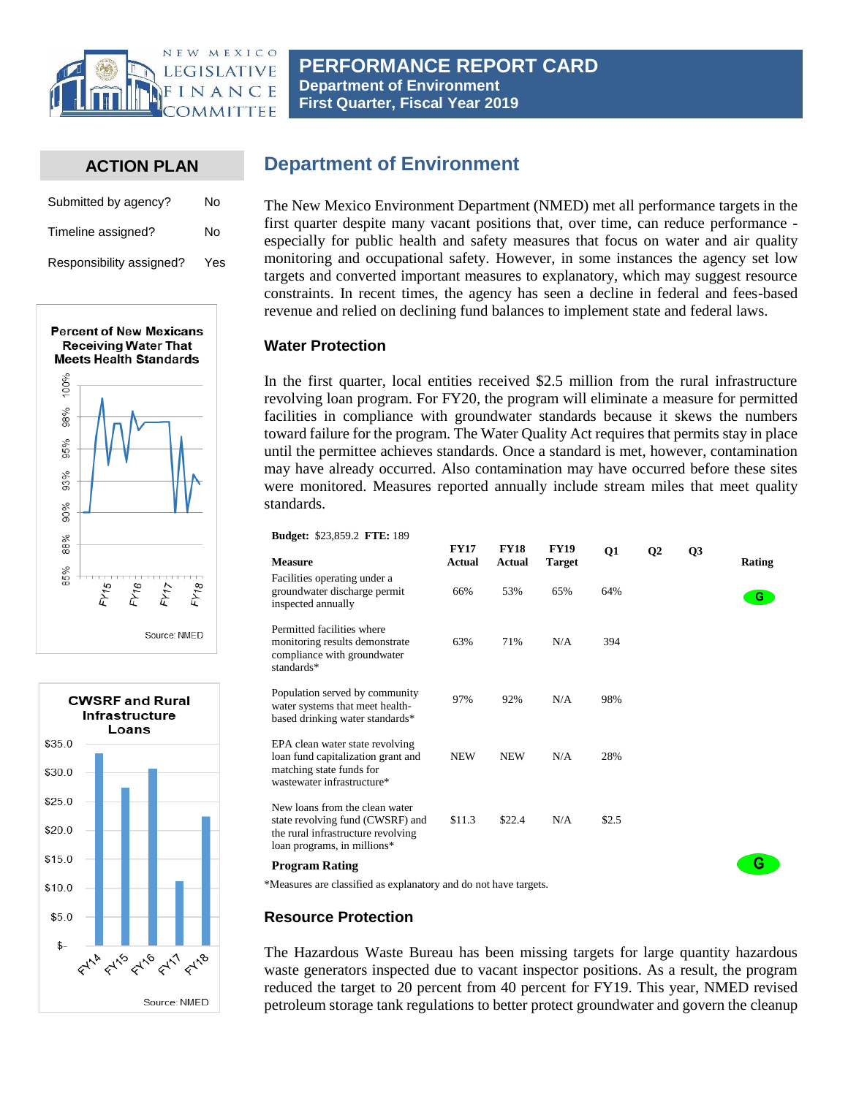

## **ACTION PLAN**

| Submitted by agency?     | No  |
|--------------------------|-----|
| Timeline assigned?       | No  |
| Responsibility assigned? | Yes |





# **Department of Environment**

The New Mexico Environment Department (NMED) met all performance targets in the first quarter despite many vacant positions that, over time, can reduce performance especially for public health and safety measures that focus on water and air quality monitoring and occupational safety. However, in some instances the agency set low targets and converted important measures to explanatory, which may suggest resource constraints. In recent times, the agency has seen a decline in federal and fees-based revenue and relied on declining fund balances to implement state and federal laws.

#### **Water Protection**

In the first quarter, local entities received \$2.5 million from the rural infrastructure revolving loan program. For FY20, the program will eliminate a measure for permitted facilities in compliance with groundwater standards because it skews the numbers toward failure for the program. The Water Quality Act requires that permits stay in place until the permittee achieves standards. Once a standard is met, however, contamination may have already occurred. Also contamination may have occurred before these sites were monitored. Measures reported annually include stream miles that meet quality standards.

**Budget:** \$23,859.2 **FTE:** 189

| <b>Measure</b>                                                                                                                          | <b>FY17</b><br><b>Actual</b> | <b>FY18</b><br>Actual | <b>FY19</b><br><b>Target</b> | Q1    | Q <sub>2</sub> | Q3 | Rating |
|-----------------------------------------------------------------------------------------------------------------------------------------|------------------------------|-----------------------|------------------------------|-------|----------------|----|--------|
| Facilities operating under a<br>groundwater discharge permit<br>inspected annually                                                      | 66%                          | 53%                   | 65%                          | 64%   |                |    | G.     |
| Permitted facilities where<br>monitoring results demonstrate<br>compliance with groundwater<br>standards*                               | 63%                          | 71%                   | N/A                          | 394   |                |    |        |
| Population served by community<br>water systems that meet health-<br>based drinking water standards*                                    | 97%                          | 92%                   | N/A                          | 98%   |                |    |        |
| EPA clean water state revolving<br>loan fund capitalization grant and<br>matching state funds for<br>wastewater infrastructure*         | <b>NEW</b>                   | <b>NEW</b>            | N/A                          | 28%   |                |    |        |
| New loans from the clean water<br>state revolving fund (CWSRF) and<br>the rural infrastructure revolving<br>loan programs, in millions* | \$11.3                       | \$22.4                | N/A                          | \$2.5 |                |    |        |
| Program Rating                                                                                                                          |                              |                       |                              |       |                |    | G      |

\*Measures are classified as explanatory and do not have targets.

## **Resource Protection**

The Hazardous Waste Bureau has been missing targets for large quantity hazardous waste generators inspected due to vacant inspector positions. As a result, the program reduced the target to 20 percent from 40 percent for FY19. This year, NMED revised petroleum storage tank regulations to better protect groundwater and govern the cleanup